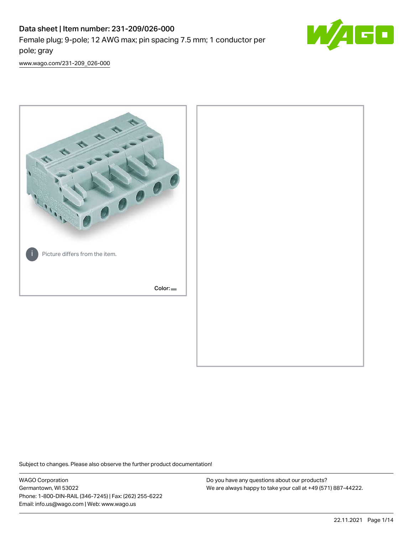# Data sheet | Item number: 231-209/026-000 Female plug; 9-pole; 12 AWG max; pin spacing 7.5 mm; 1 conductor per pole; gray



[www.wago.com/231-209\\_026-000](http://www.wago.com/231-209_026-000)



Subject to changes. Please also observe the further product documentation!

WAGO Corporation Germantown, WI 53022 Phone: 1-800-DIN-RAIL (346-7245) | Fax: (262) 255-6222 Email: info.us@wago.com | Web: www.wago.us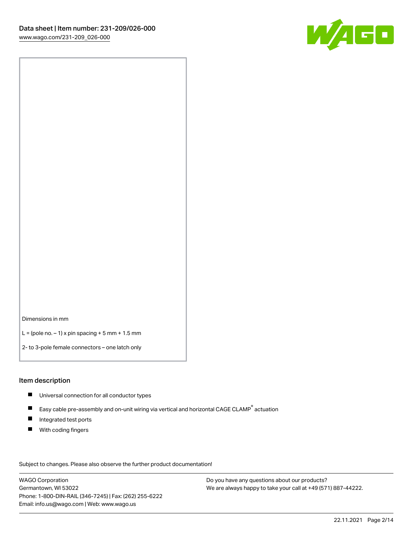

Dimensions in mm

 $L =$  (pole no.  $-1$ ) x pin spacing  $+5$  mm  $+ 1.5$  mm

2- to 3-pole female connectors – one latch only

#### Item description

- **Universal connection for all conductor types**
- Easy cable pre-assembly and on-unit wiring via vertical and horizontal CAGE CLAMP<sup>®</sup> actuation  $\blacksquare$
- $\blacksquare$ Integrated test ports
- $\blacksquare$ With coding fingers

Subject to changes. Please also observe the further product documentation! Data

WAGO Corporation Germantown, WI 53022 Phone: 1-800-DIN-RAIL (346-7245) | Fax: (262) 255-6222 Email: info.us@wago.com | Web: www.wago.us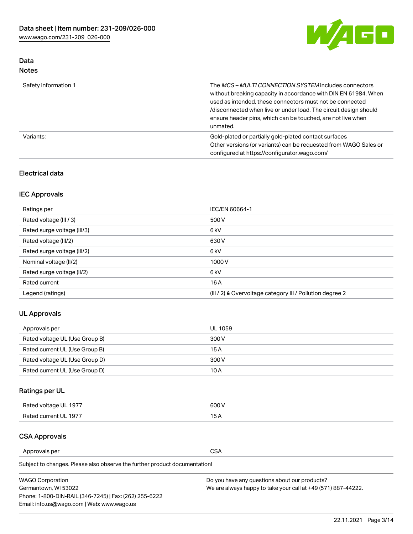

# Data Notes

| Safety information 1 | The MCS-MULTI CONNECTION SYSTEM includes connectors<br>without breaking capacity in accordance with DIN EN 61984. When<br>used as intended, these connectors must not be connected<br>/disconnected when live or under load. The circuit design should<br>ensure header pins, which can be touched, are not live when<br>unmated. |
|----------------------|-----------------------------------------------------------------------------------------------------------------------------------------------------------------------------------------------------------------------------------------------------------------------------------------------------------------------------------|
| Variants:            | Gold-plated or partially gold-plated contact surfaces<br>Other versions (or variants) can be requested from WAGO Sales or<br>configured at https://configurator.wago.com/                                                                                                                                                         |

## Electrical data

# IEC Approvals

| Ratings per                 | IEC/EN 60664-1                                                        |
|-----------------------------|-----------------------------------------------------------------------|
| Rated voltage (III / 3)     | 500 V                                                                 |
| Rated surge voltage (III/3) | 6 <sub>kV</sub>                                                       |
| Rated voltage (III/2)       | 630 V                                                                 |
| Rated surge voltage (III/2) | 6 <sub>kV</sub>                                                       |
| Nominal voltage (II/2)      | 1000V                                                                 |
| Rated surge voltage (II/2)  | 6 <sub>kV</sub>                                                       |
| Rated current               | 16A                                                                   |
| Legend (ratings)            | $(III / 2)$ $\triangle$ Overvoltage category III / Pollution degree 2 |

# UL Approvals

| Approvals per                  | UL 1059 |
|--------------------------------|---------|
| Rated voltage UL (Use Group B) | 300 V   |
| Rated current UL (Use Group B) | 15 A    |
| Rated voltage UL (Use Group D) | 300 V   |
| Rated current UL (Use Group D) | 10 A    |

# Ratings per UL

| Rated voltage UL 1977 | 300 V |
|-----------------------|-------|
| Rated current UL 1977 |       |

#### CSA Approvals

Approvals per CSA

Subject to changes. Please also observe the further product documentation!

| <b>WAGO Corporation</b>                                | Do you have any questions about our products?                 |
|--------------------------------------------------------|---------------------------------------------------------------|
| Germantown, WI 53022                                   | We are always happy to take your call at +49 (571) 887-44222. |
| Phone: 1-800-DIN-RAIL (346-7245)   Fax: (262) 255-6222 |                                                               |
| Email: info.us@wago.com   Web: www.wago.us             |                                                               |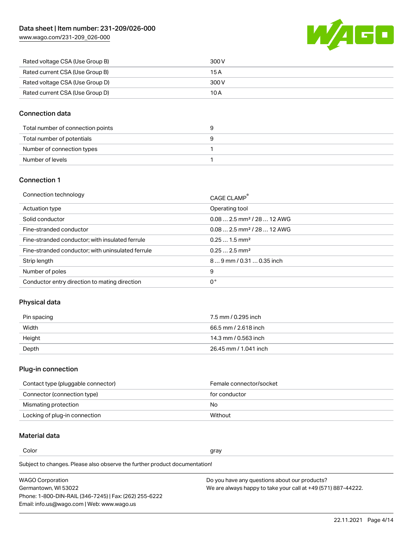

| Rated voltage CSA (Use Group B) | 300 V |
|---------------------------------|-------|
| Rated current CSA (Use Group B) | 15 A  |
| Rated voltage CSA (Use Group D) | 300 V |
| Rated current CSA (Use Group D) | 10 A  |

#### Connection data

| Total number of connection points |  |
|-----------------------------------|--|
| Total number of potentials        |  |
| Number of connection types        |  |
| Number of levels                  |  |

#### Connection 1

| Connection technology                             | CAGE CLAMP <sup>®</sup>                 |
|---------------------------------------------------|-----------------------------------------|
| Actuation type                                    | Operating tool                          |
| Solid conductor                                   | $0.082.5$ mm <sup>2</sup> / 28  12 AWG  |
| Fine-stranded conductor                           | $0.08$ 2.5 mm <sup>2</sup> / 28  12 AWG |
| Fine-stranded conductor; with insulated ferrule   | $0.251.5$ mm <sup>2</sup>               |
| Fine-stranded conductor; with uninsulated ferrule | $0.252.5$ mm <sup>2</sup>               |
| Strip length                                      | 89 mm / 0.31  0.35 inch                 |
| Number of poles                                   | 9                                       |
| Conductor entry direction to mating direction     | 0°                                      |

# Physical data

| Pin spacing | 7.5 mm / 0.295 inch   |
|-------------|-----------------------|
| Width       | 66.5 mm / 2.618 inch  |
| Height      | 14.3 mm / 0.563 inch  |
| Depth       | 26.45 mm / 1.041 inch |

# Plug-in connection

| Contact type (pluggable connector) | Female connector/socket |
|------------------------------------|-------------------------|
| Connector (connection type)        | for conductor           |
| Mismating protection               | No.                     |
| Locking of plug-in connection      | Without                 |

### Material data

Color and the color of the color of the color of the color of the color of the color of the color of the color

Subject to changes. Please also observe the further product documentation! Material group I

| <b>WAGO Corporation</b>                                | Do you have any questions about our products?                 |
|--------------------------------------------------------|---------------------------------------------------------------|
| Germantown, WI 53022                                   | We are always happy to take your call at +49 (571) 887-44222. |
| Phone: 1-800-DIN-RAIL (346-7245)   Fax: (262) 255-6222 |                                                               |
| Email: info.us@wago.com   Web: www.wago.us             |                                                               |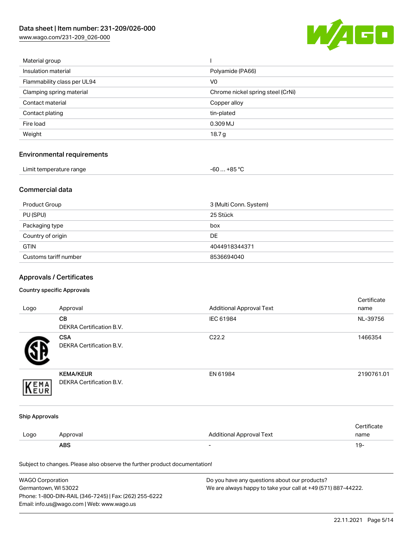

| Material group              |                                   |
|-----------------------------|-----------------------------------|
| Insulation material         | Polyamide (PA66)                  |
| Flammability class per UL94 | V <sub>0</sub>                    |
| Clamping spring material    | Chrome nickel spring steel (CrNi) |
| Contact material            | Copper alloy                      |
| Contact plating             | tin-plated                        |
| Fire load                   | 0.309 MJ                          |
| Weight                      | 18.7 g                            |
|                             |                                   |

# Environmental requirements

| Limit temperature range | $-60+85 °C$ |  |
|-------------------------|-------------|--|
|-------------------------|-------------|--|

### Commercial data

| Product Group         | 3 (Multi Conn. System) |
|-----------------------|------------------------|
| PU (SPU)              | 25 Stück               |
| Packaging type        | box                    |
| Country of origin     | <b>DE</b>              |
| <b>GTIN</b>           | 4044918344371          |
| Customs tariff number | 8536694040             |

# Approvals / Certificates

#### Country specific Approvals

| Logo                  | Approval                                                                   | <b>Additional Approval Text</b> | Certificate<br>name |
|-----------------------|----------------------------------------------------------------------------|---------------------------------|---------------------|
|                       | CВ<br>DEKRA Certification B.V.                                             | IEC 61984                       | NL-39756            |
|                       | <b>CSA</b><br>DEKRA Certification B.V.                                     | C22.2                           | 1466354             |
| EMA<br>EUR            | <b>KEMA/KEUR</b><br>DEKRA Certification B.V.                               | EN 61984                        | 2190761.01          |
| <b>Ship Approvals</b> |                                                                            |                                 |                     |
| Logo                  | Approval                                                                   | <b>Additional Approval Text</b> | Certificate<br>name |
|                       | <b>ABS</b>                                                                 | $\overline{\phantom{a}}$        | $19 -$              |
|                       | Subject to changes. Please also observe the further product documentation! |                                 |                     |

| <b>WAGO Corporation</b>                                | Do you have any questions about our products?                 |
|--------------------------------------------------------|---------------------------------------------------------------|
| Germantown, WI 53022                                   | We are always happy to take your call at +49 (571) 887-44222. |
| Phone: 1-800-DIN-RAIL (346-7245)   Fax: (262) 255-6222 |                                                               |
| Email: info.us@wago.com   Web: www.wago.us             |                                                               |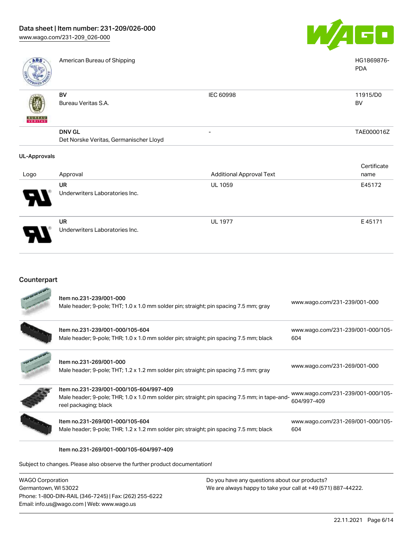Underwriters Laboratories Inc.



| ABS                 | American Bureau of Shipping                             |                                 | HG1869876-<br><b>PDA</b> |
|---------------------|---------------------------------------------------------|---------------------------------|--------------------------|
| <b>BUREAU</b>       | BV<br>Bureau Veritas S.A.                               | IEC 60998                       | 11915/D0<br>BV           |
|                     | <b>DNV GL</b><br>Det Norske Veritas, Germanischer Lloyd |                                 | TAE000016Z               |
| <b>UL-Approvals</b> |                                                         |                                 |                          |
|                     |                                                         |                                 | Certificate              |
| Logo                | Approval                                                | <b>Additional Approval Text</b> | name                     |
|                     | UR                                                      | <b>UL 1059</b>                  | E45172                   |
|                     | Underwriters Laboratories Inc.                          |                                 |                          |
|                     | <b>UR</b>                                               | <b>UL 1977</b>                  | E45171                   |

# Counterpart

Phone: 1-800-DIN-RAIL (346-7245) | Fax: (262) 255-6222

Email: info.us@wago.com | Web: www.wago.us

|                         | Item no.231-239/001-000                                                                                                |                                                               |                                   |  |
|-------------------------|------------------------------------------------------------------------------------------------------------------------|---------------------------------------------------------------|-----------------------------------|--|
|                         | Male header; 9-pole; THT; 1.0 x 1.0 mm solder pin; straight; pin spacing 7.5 mm; gray                                  |                                                               | www.wago.com/231-239/001-000      |  |
|                         | Item no.231-239/001-000/105-604                                                                                        |                                                               | www.wago.com/231-239/001-000/105- |  |
|                         | Male header; 9-pole; THR; 1.0 x 1.0 mm solder pin; straight; pin spacing 7.5 mm; black                                 |                                                               | 604                               |  |
|                         | Item no.231-269/001-000                                                                                                |                                                               |                                   |  |
|                         | Male header; 9-pole; THT; 1.2 x 1.2 mm solder pin; straight; pin spacing 7.5 mm; gray                                  |                                                               | www.wago.com/231-269/001-000      |  |
|                         | Item no.231-239/001-000/105-604/997-409                                                                                |                                                               | www.wago.com/231-239/001-000/105- |  |
|                         | Male header; 9-pole; THR; 1.0 x 1.0 mm solder pin; straight; pin spacing 7.5 mm; in tape-and-<br>reel packaging; black |                                                               | 604/997-409                       |  |
|                         | Item no.231-269/001-000/105-604                                                                                        |                                                               | www.wago.com/231-269/001-000/105- |  |
|                         | Male header; 9-pole; THR; 1.2 x 1.2 mm solder pin; straight; pin spacing 7.5 mm; black                                 |                                                               | 604                               |  |
|                         | Item no.231-269/001-000/105-604/997-409                                                                                |                                                               |                                   |  |
|                         | Subject to changes. Please also observe the further product documentation!                                             |                                                               |                                   |  |
| <b>WAGO Corporation</b> |                                                                                                                        | Do you have any questions about our products?                 |                                   |  |
| Germantown, WI 53022    |                                                                                                                        | We are always happy to take your call at +49 (571) 887-44222. |                                   |  |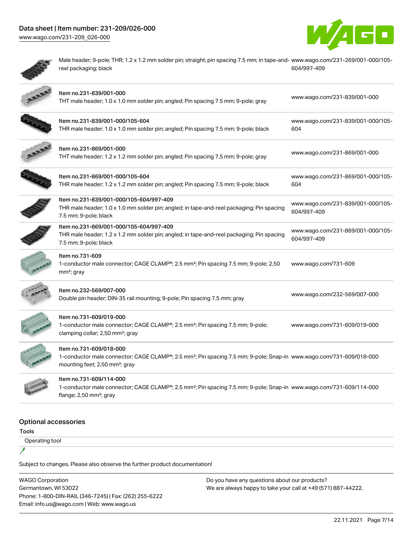



Male header; 9-pole; THR; 1.2 x 1.2 mm solder pin; straight; pin spacing 7.5 mm; in tape-and-[www.wago.com/231-269/001-000/105](https://www.wago.com/231-269/001-000/105-604/997-409) reel packaging; black [604/997-409](https://www.wago.com/231-269/001-000/105-604/997-409)

| Item no.231-839/001-000<br>THT male header; 1.0 x 1.0 mm solder pin; angled; Pin spacing 7.5 mm; 9-pole; gray                                                                                            | www.wago.com/231-839/001-000                     |
|----------------------------------------------------------------------------------------------------------------------------------------------------------------------------------------------------------|--------------------------------------------------|
| Item no.231-839/001-000/105-604<br>THR male header; 1.0 x 1.0 mm solder pin; angled; Pin spacing 7.5 mm; 9-pole; black                                                                                   | www.wago.com/231-839/001-000/105-<br>604         |
| Item no.231-869/001-000<br>THT male header; 1.2 x 1.2 mm solder pin; angled; Pin spacing 7.5 mm; 9-pole; gray                                                                                            | www.wago.com/231-869/001-000                     |
| Item no.231-869/001-000/105-604<br>THR male header; 1.2 x 1.2 mm solder pin; angled; Pin spacing 7.5 mm; 9-pole; black                                                                                   | www.wago.com/231-869/001-000/105-<br>604         |
| Item no.231-839/001-000/105-604/997-409<br>THR male header; 1.0 x 1.0 mm solder pin; angled; in tape-and-reel packaging; Pin spacing<br>7.5 mm; 9-pole; black                                            | www.wago.com/231-839/001-000/105-<br>604/997-409 |
| Item no.231-869/001-000/105-604/997-409<br>THR male header; 1.2 x 1.2 mm solder pin; angled; in tape-and-reel packaging; Pin spacing<br>7.5 mm; 9-pole; black                                            | www.wago.com/231-869/001-000/105-<br>604/997-409 |
| Item no.731-609<br>1-conductor male connector; CAGE CLAMP®; 2.5 mm <sup>2</sup> ; Pin spacing 7.5 mm; 9-pole; 2,50<br>$mm2$ ; gray                                                                       | www.wago.com/731-609                             |
| Item no.232-569/007-000<br>Double pin header; DIN-35 rail mounting; 9-pole; Pin spacing 7.5 mm; gray                                                                                                     | www.wago.com/232-569/007-000                     |
| Item no.731-609/019-000<br>1-conductor male connector; CAGE CLAMP®; 2.5 mm <sup>2</sup> ; Pin spacing 7.5 mm; 9-pole;<br>clamping collar; 2,50 mm <sup>2</sup> ; gray                                    | www.wago.com/731-609/019-000                     |
| Item no.731-609/018-000<br>1-conductor male connector; CAGE CLAMP®; 2.5 mm <sup>2</sup> ; Pin spacing 7.5 mm; 9-pole; Snap-in www.wago.com/731-609/018-000<br>mounting feet; 2,50 mm <sup>2</sup> ; gray |                                                  |
| Item no.731-609/114-000<br>1-conductor male connector; CAGE CLAMP®; 2.5 mm <sup>2</sup> ; Pin spacing 7.5 mm; 9-pole; Snap-in www.wago.com/731-609/114-000<br>flange; $2,50$ mm <sup>2</sup> ; gray      |                                                  |
|                                                                                                                                                                                                          |                                                  |

# Optional accessories

Tools

1

Operating tool

Subject to changes. Please also observe the further product documentation!

WAGO Corporation Germantown, WI 53022 Phone: 1-800-DIN-RAIL (346-7245) | Fax: (262) 255-6222 Email: info.us@wago.com | Web: www.wago.us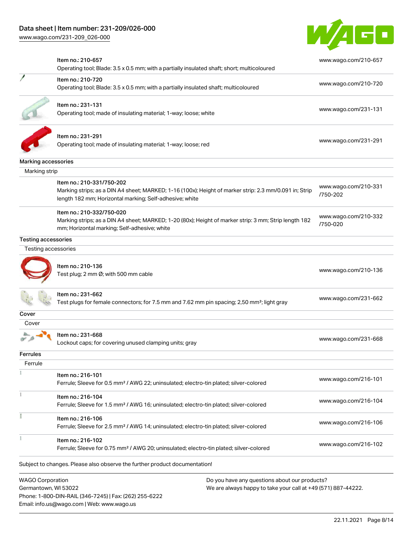

|                                                 | Item no.: 210-657<br>Operating tool; Blade: 3.5 x 0.5 mm; with a partially insulated shaft; short; multicoloured                                                                               |                                                                                                                | www.wago.com/210-657             |
|-------------------------------------------------|------------------------------------------------------------------------------------------------------------------------------------------------------------------------------------------------|----------------------------------------------------------------------------------------------------------------|----------------------------------|
|                                                 | Item no.: 210-720<br>Operating tool; Blade: 3.5 x 0.5 mm; with a partially insulated shaft; multicoloured                                                                                      |                                                                                                                | www.wago.com/210-720             |
|                                                 | Item no.: 231-131<br>Operating tool; made of insulating material; 1-way; loose; white                                                                                                          |                                                                                                                | www.wago.com/231-131             |
|                                                 | Item no.: 231-291<br>Operating tool; made of insulating material; 1-way; loose; red                                                                                                            |                                                                                                                | www.wago.com/231-291             |
| Marking accessories                             |                                                                                                                                                                                                |                                                                                                                |                                  |
| Marking strip                                   |                                                                                                                                                                                                |                                                                                                                |                                  |
|                                                 | Item no.: 210-331/750-202<br>Marking strips; as a DIN A4 sheet; MARKED; 1-16 (100x); Height of marker strip: 2.3 mm/0.091 in; Strip<br>length 182 mm; Horizontal marking; Self-adhesive; white |                                                                                                                | www.wago.com/210-331<br>/750-202 |
|                                                 | Item no.: 210-332/750-020<br>Marking strips; as a DIN A4 sheet; MARKED; 1-20 (80x); Height of marker strip: 3 mm; Strip length 182<br>mm; Horizontal marking; Self-adhesive; white             |                                                                                                                | www.wago.com/210-332<br>/750-020 |
| <b>Testing accessories</b>                      |                                                                                                                                                                                                |                                                                                                                |                                  |
| Testing accessories                             |                                                                                                                                                                                                |                                                                                                                |                                  |
|                                                 | Item no.: 210-136<br>Test plug; 2 mm Ø; with 500 mm cable                                                                                                                                      |                                                                                                                | www.wago.com/210-136             |
|                                                 | Item no.: 231-662<br>Test plugs for female connectors; for 7.5 mm and 7.62 mm pin spacing; 2,50 mm <sup>2</sup> ; light gray                                                                   |                                                                                                                | www.wago.com/231-662             |
| Cover                                           |                                                                                                                                                                                                |                                                                                                                |                                  |
| Cover                                           |                                                                                                                                                                                                |                                                                                                                |                                  |
|                                                 | Item no.: 231-668<br>Lockout caps; for covering unused clamping units; gray                                                                                                                    |                                                                                                                | www.wago.com/231-668             |
| Ferrules                                        |                                                                                                                                                                                                |                                                                                                                |                                  |
| Ferrule                                         |                                                                                                                                                                                                |                                                                                                                |                                  |
|                                                 | Item no.: 216-101<br>Ferrule; Sleeve for 0.5 mm <sup>2</sup> / AWG 22; uninsulated; electro-tin plated; silver-colored                                                                         |                                                                                                                | www.wago.com/216-101             |
|                                                 | Item no.: 216-104<br>Ferrule; Sleeve for 1.5 mm <sup>2</sup> / AWG 16; uninsulated; electro-tin plated; silver-colored                                                                         |                                                                                                                | www.wago.com/216-104             |
|                                                 | Item no.: 216-106<br>Ferrule; Sleeve for 2.5 mm <sup>2</sup> / AWG 14; uninsulated; electro-tin plated; silver-colored                                                                         |                                                                                                                | www.wago.com/216-106             |
|                                                 | Item no.: 216-102<br>Ferrule; Sleeve for 0.75 mm <sup>2</sup> / AWG 20; uninsulated; electro-tin plated; silver-colored                                                                        |                                                                                                                | www.wago.com/216-102             |
|                                                 | Subject to changes. Please also observe the further product documentation!                                                                                                                     |                                                                                                                |                                  |
| <b>WAGO Corporation</b><br>Germantown, WI 53022 | Phone: 1-800-DIN-RAIL (346-7245)   Fax: (262) 255-6222<br>Email: info.us@wago.com   Web: www.wago.us                                                                                           | Do you have any questions about our products?<br>We are always happy to take your call at +49 (571) 887-44222. |                                  |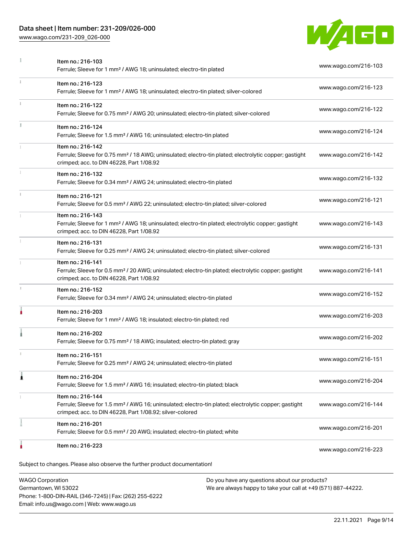# Data sheet | Item number: 231-209/026-000

[www.wago.com/231-209\\_026-000](http://www.wago.com/231-209_026-000)



|               | <b>WAGO Corporation</b><br>Do you have any questions about our products?                                                                                                                          |                      |
|---------------|---------------------------------------------------------------------------------------------------------------------------------------------------------------------------------------------------|----------------------|
|               | Subject to changes. Please also observe the further product documentation!                                                                                                                        |                      |
|               | Item no.: 216-223                                                                                                                                                                                 | www.wago.com/216-223 |
|               | Item no.: 216-201<br>Ferrule; Sleeve for 0.5 mm <sup>2</sup> / 20 AWG; insulated; electro-tin plated; white                                                                                       | www.wago.com/216-201 |
|               | Item no.: 216-144<br>Ferrule; Sleeve for 1.5 mm <sup>2</sup> / AWG 16; uninsulated; electro-tin plated; electrolytic copper; gastight<br>crimped; acc. to DIN 46228, Part 1/08.92; silver-colored | www.wago.com/216-144 |
| 1             | Item no.: 216-204<br>Ferrule; Sleeve for 1.5 mm <sup>2</sup> / AWG 16; insulated; electro-tin plated; black                                                                                       | www.wago.com/216-204 |
|               | Item no.: 216-151<br>Ferrule; Sleeve for 0.25 mm <sup>2</sup> / AWG 24; uninsulated; electro-tin plated                                                                                           | www.wago.com/216-151 |
|               | Item no.: 216-202<br>Ferrule; Sleeve for 0.75 mm <sup>2</sup> / 18 AWG; insulated; electro-tin plated; gray                                                                                       | www.wago.com/216-202 |
|               | Item no.: 216-203<br>Ferrule; Sleeve for 1 mm <sup>2</sup> / AWG 18; insulated; electro-tin plated; red                                                                                           | www.wago.com/216-203 |
|               | Item no.: 216-152<br>Ferrule; Sleeve for 0.34 mm <sup>2</sup> / AWG 24; uninsulated; electro-tin plated                                                                                           | www.wago.com/216-152 |
|               | Item no.: 216-141<br>Ferrule; Sleeve for 0.5 mm <sup>2</sup> / 20 AWG; uninsulated; electro-tin plated; electrolytic copper; gastight<br>crimped; acc. to DIN 46228, Part 1/08.92                 | www.wago.com/216-141 |
|               | Item no.: 216-131<br>Ferrule; Sleeve for 0.25 mm <sup>2</sup> / AWG 24; uninsulated; electro-tin plated; silver-colored                                                                           | www.wago.com/216-131 |
|               | Item no.: 216-143<br>Ferrule; Sleeve for 1 mm <sup>2</sup> / AWG 18; uninsulated; electro-tin plated; electrolytic copper; gastight<br>crimped; acc. to DIN 46228, Part 1/08.92                   | www.wago.com/216-143 |
|               | Item no.: 216-121<br>Ferrule; Sleeve for 0.5 mm <sup>2</sup> / AWG 22; uninsulated; electro-tin plated; silver-colored                                                                            | www.wago.com/216-121 |
|               | Item no.: 216-132<br>Ferrule; Sleeve for 0.34 mm <sup>2</sup> / AWG 24; uninsulated; electro-tin plated                                                                                           | www.wago.com/216-132 |
|               | Item no.: 216-142<br>Ferrule; Sleeve for 0.75 mm <sup>2</sup> / 18 AWG; uninsulated; electro-tin plated; electrolytic copper; gastight<br>crimped; acc. to DIN 46228, Part 1/08.92                | www.wago.com/216-142 |
|               | Item no.: 216-124<br>Ferrule; Sleeve for 1.5 mm <sup>2</sup> / AWG 16; uninsulated; electro-tin plated                                                                                            | www.wago.com/216-124 |
| $\frac{3}{3}$ | Item no.: 216-122<br>Ferrule; Sleeve for 0.75 mm <sup>2</sup> / AWG 20; uninsulated; electro-tin plated; silver-colored                                                                           | www.wago.com/216-122 |
|               | Item no.: 216-123<br>Ferrule; Sleeve for 1 mm <sup>2</sup> / AWG 18; uninsulated; electro-tin plated; silver-colored                                                                              | www.wago.com/216-123 |
|               | Item no.: 216-103<br>Ferrule; Sleeve for 1 mm <sup>2</sup> / AWG 18; uninsulated; electro-tin plated                                                                                              | www.wago.com/216-103 |

Germantown, WI 53022 Phone: 1-800-DIN-RAIL (346-7245) | Fax: (262) 255-6222 Email: info.us@wago.com | Web: www.wago.us

We are always happy to take your call at +49 (571) 887-44222.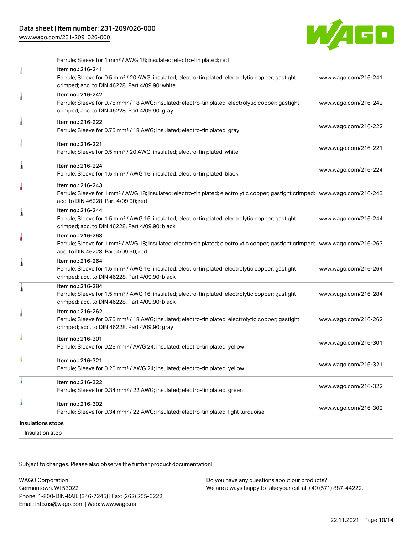

|   | Insulation stop                                                                                                                                                                                         |                      |
|---|---------------------------------------------------------------------------------------------------------------------------------------------------------------------------------------------------------|----------------------|
|   | Insulations stops                                                                                                                                                                                       |                      |
| ۸ | Item no.: 216-302<br>Ferrule; Sleeve for 0.34 mm <sup>2</sup> / 22 AWG; insulated; electro-tin plated; light turquoise                                                                                  | www.wago.com/216-302 |
|   | Item no.: 216-322<br>Ferrule; Sleeve for 0.34 mm <sup>2</sup> / 22 AWG; insulated; electro-tin plated; green                                                                                            | www.wago.com/216-322 |
|   | Item no.: 216-321<br>Ferrule; Sleeve for 0.25 mm <sup>2</sup> / AWG 24; insulated; electro-tin plated; yellow                                                                                           | www.wago.com/216-321 |
|   | Item no.: 216-301<br>Ferrule; Sleeve for 0.25 mm <sup>2</sup> / AWG 24; insulated; electro-tin plated; yellow                                                                                           | www.wago.com/216-301 |
|   | Item no.: 216-262<br>Ferrule; Sleeve for 0.75 mm <sup>2</sup> / 18 AWG; insulated; electro-tin plated; electrolytic copper; gastight<br>crimped; acc. to DIN 46228, Part 4/09.90; gray                  | www.wago.com/216-262 |
|   | Item no.: 216-284<br>Ferrule; Sleeve for 1.5 mm <sup>2</sup> / AWG 16; insulated; electro-tin plated; electrolytic copper; gastight<br>crimped; acc. to DIN 46228, Part 4/09.90; black                  | www.wago.com/216-284 |
|   | Item no.: 216-264<br>Ferrule; Sleeve for 1.5 mm <sup>2</sup> / AWG 16; insulated; electro-tin plated; electrolytic copper; gastight<br>crimped; acc. to DIN 46228, Part 4/09.90; black                  | www.wago.com/216-264 |
|   | Item no.: 216-263<br>Ferrule; Sleeve for 1 mm <sup>2</sup> / AWG 18; insulated; electro-tin plated; electrolytic copper; gastight crimped; www.wago.com/216-263<br>acc. to DIN 46228, Part 4/09.90; red |                      |
| Â | Item no.: 216-244<br>Ferrule; Sleeve for 1.5 mm <sup>2</sup> / AWG 16; insulated; electro-tin plated; electrolytic copper; gastight<br>crimped; acc. to DIN 46228, Part 4/09.90; black                  | www.wago.com/216-244 |
|   | Item no.: 216-243<br>Ferrule; Sleeve for 1 mm <sup>2</sup> / AWG 18; insulated; electro-tin plated; electrolytic copper; gastight crimped; www.wago.com/216-243<br>acc. to DIN 46228, Part 4/09.90; red |                      |
| ٨ | Item no.: 216-224<br>Ferrule; Sleeve for 1.5 mm <sup>2</sup> / AWG 16; insulated; electro-tin plated; black                                                                                             | www.wago.com/216-224 |
|   | Item no.: 216-221<br>Ferrule; Sleeve for 0.5 mm <sup>2</sup> / 20 AWG; insulated; electro-tin plated; white                                                                                             | www.wago.com/216-221 |
|   | Item no.: 216-222<br>Ferrule; Sleeve for 0.75 mm <sup>2</sup> / 18 AWG; insulated; electro-tin plated; gray                                                                                             | www.wago.com/216-222 |
|   | Item no.: 216-242<br>Ferrule; Sleeve for 0.75 mm <sup>2</sup> / 18 AWG; insulated; electro-tin plated; electrolytic copper; gastight<br>crimped; acc. to DIN 46228, Part 4/09.90; gray                  | www.wago.com/216-242 |
|   | Item no.: 216-241<br>Ferrule; Sleeve for 0.5 mm <sup>2</sup> / 20 AWG; insulated; electro-tin plated; electrolytic copper; gastight<br>crimped; acc. to DIN 46228, Part 4/09.90; white                  | www.wago.com/216-241 |
|   | Ferrule; Sleeve for 1 mm <sup>2</sup> / AWG 18; insulated; electro-tin plated; red                                                                                                                      |                      |

Subject to changes. Please also observe the further product documentation!

WAGO Corporation Germantown, WI 53022 Phone: 1-800-DIN-RAIL (346-7245) | Fax: (262) 255-6222 Email: info.us@wago.com | Web: www.wago.us Do you have any questions about our products? We are always happy to take your call at +49 (571) 887-44222.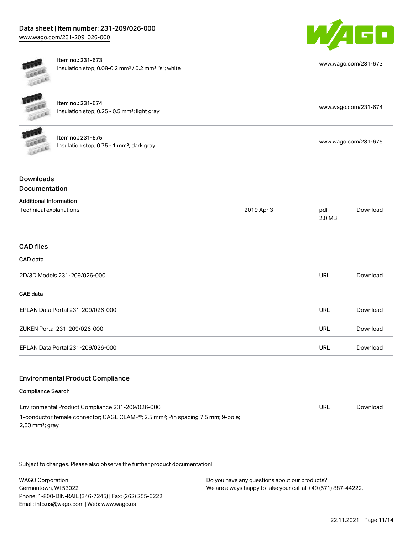

| LEEEE                                                   | Item no.: 231-673<br>Insulation stop; 0.08-0.2 mm <sup>2</sup> / 0.2 mm <sup>2</sup> "s"; white                                                  |            |               | www.wago.com/231-673 |
|---------------------------------------------------------|--------------------------------------------------------------------------------------------------------------------------------------------------|------------|---------------|----------------------|
|                                                         | Item no.: 231-674<br>Insulation stop; 0.25 - 0.5 mm <sup>2</sup> ; light gray                                                                    |            |               | www.wago.com/231-674 |
|                                                         | Item no.: 231-675<br>Insulation stop; 0.75 - 1 mm <sup>2</sup> ; dark gray                                                                       |            |               | www.wago.com/231-675 |
| <b>Downloads</b><br>Documentation                       |                                                                                                                                                  |            |               |                      |
| <b>Additional Information</b><br>Technical explanations |                                                                                                                                                  | 2019 Apr 3 | pdf<br>2.0 MB | Download             |
| <b>CAD files</b><br>CAD data                            |                                                                                                                                                  |            |               |                      |
|                                                         | 2D/3D Models 231-209/026-000                                                                                                                     |            | <b>URL</b>    | Download             |
| <b>CAE</b> data                                         |                                                                                                                                                  |            |               |                      |
|                                                         | EPLAN Data Portal 231-209/026-000                                                                                                                |            | <b>URL</b>    | Download             |
|                                                         | ZUKEN Portal 231-209/026-000                                                                                                                     |            | <b>URL</b>    | Download             |
|                                                         | EPLAN Data Portal 231-209/026-000                                                                                                                |            | <b>URL</b>    | Download             |
|                                                         | <b>Environmental Product Compliance</b>                                                                                                          |            |               |                      |
| <b>Compliance Search</b>                                |                                                                                                                                                  |            |               |                      |
| $2,50$ mm <sup>2</sup> ; gray                           | Environmental Product Compliance 231-209/026-000<br>1-conductor female connector; CAGE CLAMP®; 2.5 mm <sup>2</sup> ; Pin spacing 7.5 mm; 9-pole; |            | <b>URL</b>    | Download             |

Subject to changes. Please also observe the further product documentation!

WAGO Corporation Germantown, WI 53022 Phone: 1-800-DIN-RAIL (346-7245) | Fax: (262) 255-6222 Email: info.us@wago.com | Web: www.wago.us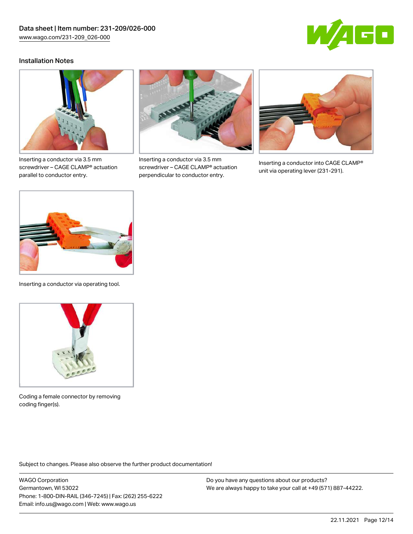

### Installation Notes



Inserting a conductor via 3.5 mm screwdriver – CAGE CLAMP® actuation parallel to conductor entry.



Inserting a conductor via 3.5 mm screwdriver – CAGE CLAMP® actuation perpendicular to conductor entry.



Inserting a conductor into CAGE CLAMP® unit via operating lever (231-291).



Inserting a conductor via operating tool.



Coding a female connector by removing coding finger(s).

Subject to changes. Please also observe the further product documentation!

WAGO Corporation Germantown, WI 53022 Phone: 1-800-DIN-RAIL (346-7245) | Fax: (262) 255-6222 Email: info.us@wago.com | Web: www.wago.us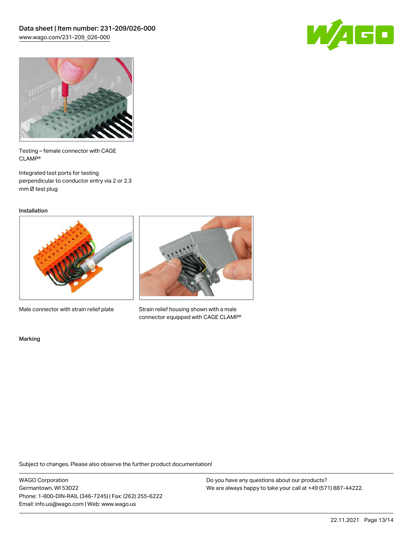



Testing – female connector with CAGE CLAMP®

Integrated test ports for testing perpendicular to conductor entry via 2 or 2.3 mm Ø test plug

Installation



Male connector with strain relief plate



Strain relief housing shown with a male connector equipped with CAGE CLAMP®

Marking

Subject to changes. Please also observe the further product documentation!

WAGO Corporation Germantown, WI 53022 Phone: 1-800-DIN-RAIL (346-7245) | Fax: (262) 255-6222 Email: info.us@wago.com | Web: www.wago.us